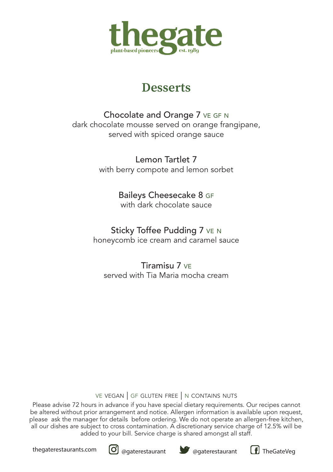

# **Desserts**

Chocolate and Orange 7 VE GF N dark chocolate mousse served on orange frangipane, served with spiced orange sauce

> Lemon Tartlet 7 with berry compote and lemon sorbet

> > Baileys Cheesecake 8 GF with dark chocolate sauce

Sticky Toffee Pudding 7 VE N honeycomb ice cream and caramel sauce

Tiramisu 7 ve served with Tia Maria mocha cream

ve vegan | gf gluten free | n contains nuts

Please advise 72 hours in advance if you have special dietary requirements. Our recipes cannot be altered without prior arrangement and notice. Allergen information is available upon request, please ask the manager for details before ordering. We do not operate an allergen-free kitchen, all our dishes are subject to cross contamination. A discretionary service charge of 12.5% will be added to your bill. Service charge is shared amongst all staff.

thegaterestaurants.com  $\omega$  @gaterestaurant  $\omega$  @gaterestaurant  $\Box$  TheGateVeg